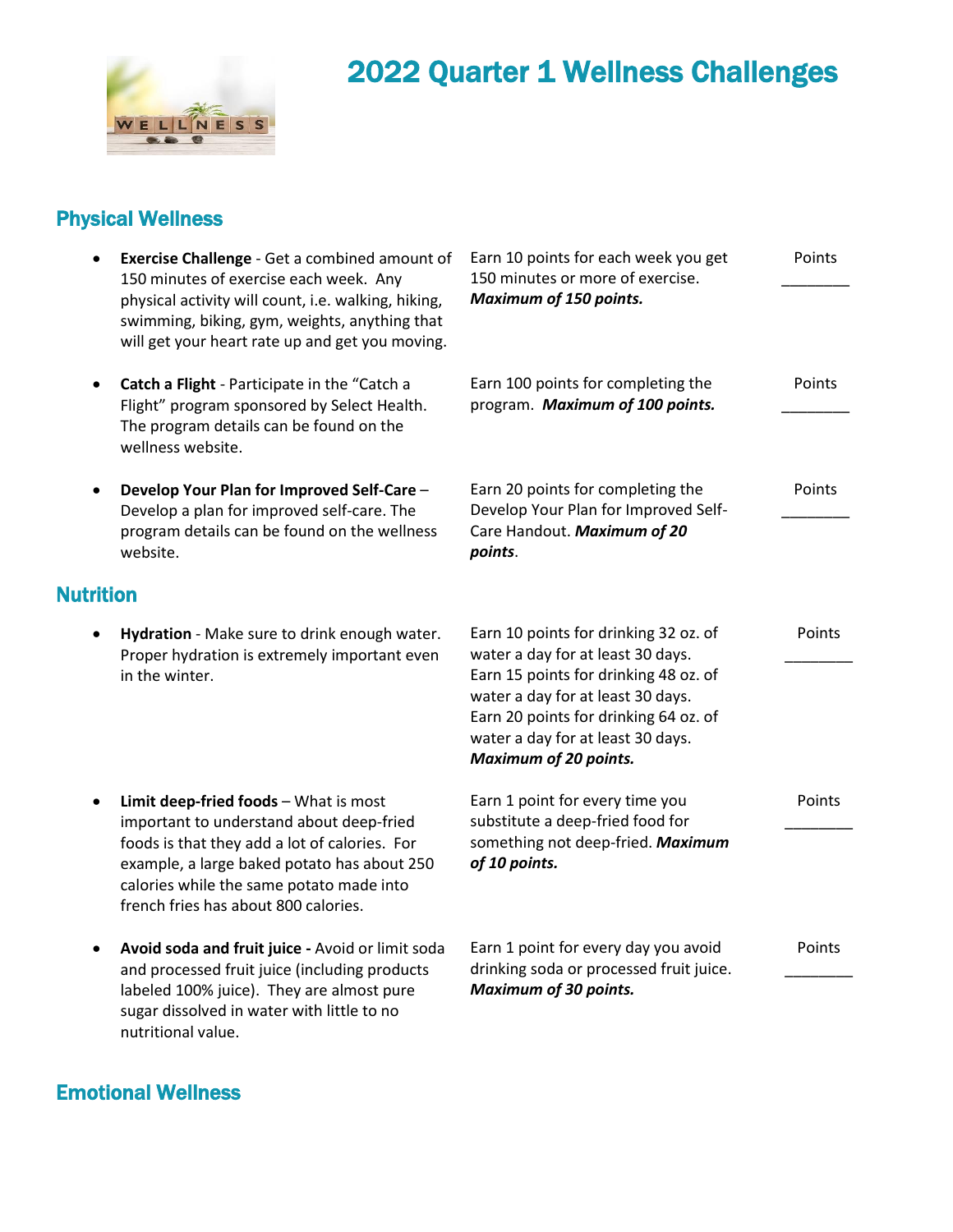

## 2022 Quarter 1 Wellness Challenges

## Physical Wellness

|                  | Exercise Challenge - Get a combined amount of<br>150 minutes of exercise each week. Any<br>physical activity will count, i.e. walking, hiking,<br>swimming, biking, gym, weights, anything that                                                                       | Earn 10 points for each week you get<br>150 minutes or more of exercise.<br><b>Maximum of 150 points.</b>                                                                                                                                                              | Points |
|------------------|-----------------------------------------------------------------------------------------------------------------------------------------------------------------------------------------------------------------------------------------------------------------------|------------------------------------------------------------------------------------------------------------------------------------------------------------------------------------------------------------------------------------------------------------------------|--------|
|                  | will get your heart rate up and get you moving.<br>Catch a Flight - Participate in the "Catch a<br>Flight" program sponsored by Select Health.<br>The program details can be found on the<br>wellness website.                                                        | Earn 100 points for completing the<br>program. Maximum of 100 points.                                                                                                                                                                                                  | Points |
|                  | Develop Your Plan for Improved Self-Care -<br>Develop a plan for improved self-care. The<br>program details can be found on the wellness<br>website.                                                                                                                  | Earn 20 points for completing the<br>Develop Your Plan for Improved Self-<br>Care Handout. Maximum of 20<br>points.                                                                                                                                                    | Points |
| <b>Nutrition</b> |                                                                                                                                                                                                                                                                       |                                                                                                                                                                                                                                                                        |        |
|                  | Hydration - Make sure to drink enough water.<br>Proper hydration is extremely important even<br>in the winter.                                                                                                                                                        | Earn 10 points for drinking 32 oz. of<br>water a day for at least 30 days.<br>Earn 15 points for drinking 48 oz. of<br>water a day for at least 30 days.<br>Earn 20 points for drinking 64 oz. of<br>water a day for at least 30 days.<br><b>Maximum of 20 points.</b> | Points |
|                  | Limit deep-fried foods - What is most<br>important to understand about deep-fried<br>foods is that they add a lot of calories. For<br>example, a large baked potato has about 250<br>calories while the same potato made into<br>french fries has about 800 calories. | Earn 1 point for every time you<br>substitute a deep-fried food for<br>something not deep-fried. Maximum<br>of 10 points.                                                                                                                                              | Points |
|                  | Avoid soda and fruit juice - Avoid or limit soda<br>and processed fruit juice (including products<br>labeled 100% juice). They are almost pure                                                                                                                        | Earn 1 point for every day you avoid<br>drinking soda or processed fruit juice.<br><b>Maximum of 30 points.</b>                                                                                                                                                        | Points |

## Emotional Wellness

nutritional value.

sugar dissolved in water with little to no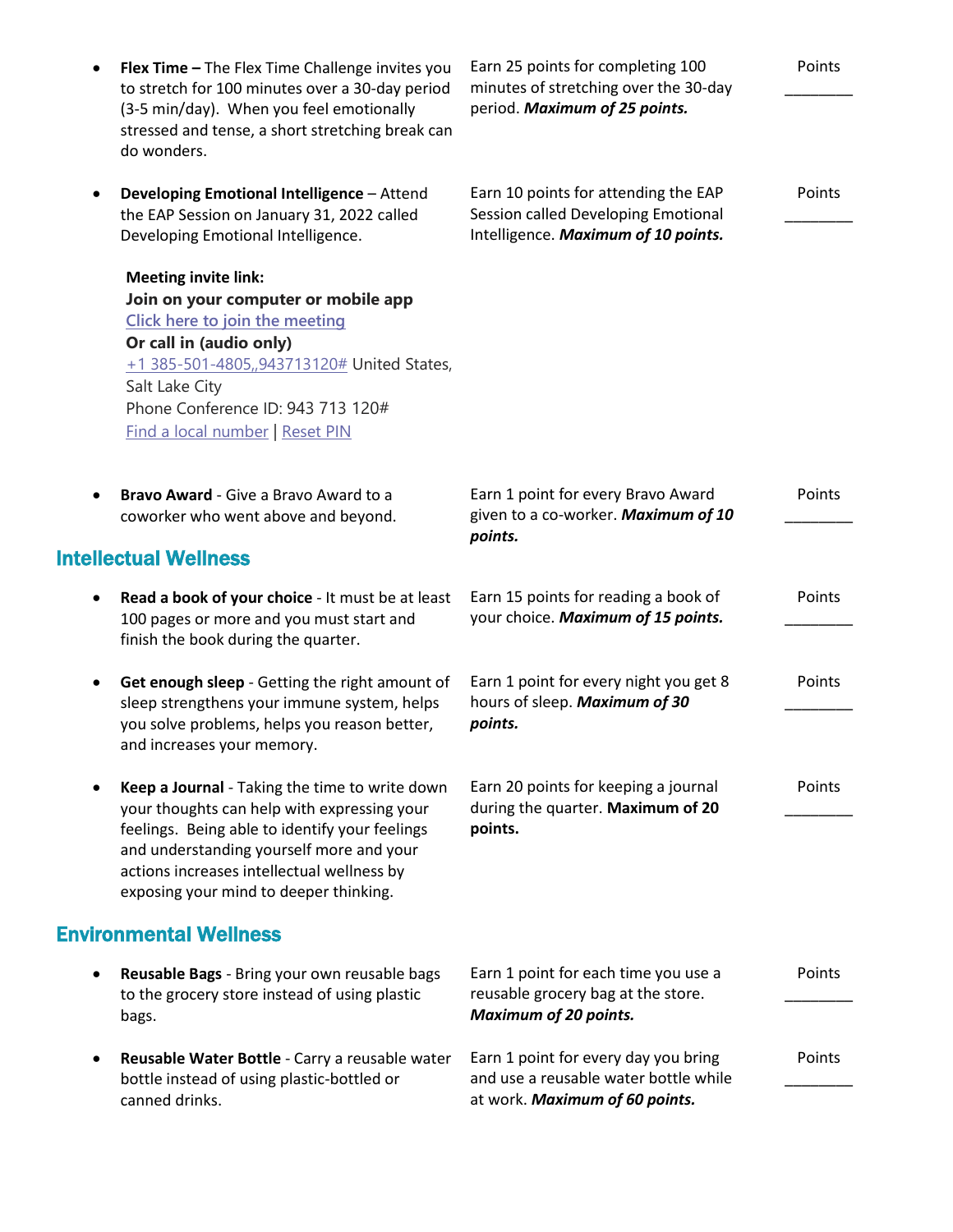| ٠ | Flex Time - The Flex Time Challenge invites you<br>to stretch for 100 minutes over a 30-day period<br>(3-5 min/day). When you feel emotionally<br>stressed and tense, a short stretching break can<br>do wonders.                                                                   | Earn 25 points for completing 100<br>minutes of stretching over the 30-day<br>period. Maximum of 25 points.        | Points |
|---|-------------------------------------------------------------------------------------------------------------------------------------------------------------------------------------------------------------------------------------------------------------------------------------|--------------------------------------------------------------------------------------------------------------------|--------|
|   | Developing Emotional Intelligence - Attend<br>the EAP Session on January 31, 2022 called<br>Developing Emotional Intelligence.                                                                                                                                                      | Earn 10 points for attending the EAP<br>Session called Developing Emotional<br>Intelligence. Maximum of 10 points. | Points |
|   | <b>Meeting invite link:</b><br>Join on your computer or mobile app<br>Click here to join the meeting<br>Or call in (audio only)<br>+1 385-501-4805,,943713120# United States,<br>Salt Lake City<br>Phone Conference ID: 943 713 120#<br><b>Find a local number   Reset PIN</b>      |                                                                                                                    |        |
|   | <b>Bravo Award - Give a Bravo Award to a</b><br>coworker who went above and beyond.                                                                                                                                                                                                 | Earn 1 point for every Bravo Award<br>given to a co-worker. Maximum of 10<br>points.                               | Points |
|   | <b>Intellectual Wellness</b>                                                                                                                                                                                                                                                        |                                                                                                                    |        |
| ٠ | Read a book of your choice - It must be at least<br>100 pages or more and you must start and<br>finish the book during the quarter.                                                                                                                                                 | Earn 15 points for reading a book of<br>your choice. Maximum of 15 points.                                         | Points |
| ٠ | Get enough sleep - Getting the right amount of<br>sleep strengthens your immune system, helps<br>you solve problems, helps you reason better,<br>and increases your memory.                                                                                                         | Earn 1 point for every night you get 8<br>hours of sleep. Maximum of 30<br>points.                                 | Points |
|   | Keep a Journal - Taking the time to write down<br>your thoughts can help with expressing your<br>feelings. Being able to identify your feelings<br>and understanding yourself more and your<br>actions increases intellectual wellness by<br>exposing your mind to deeper thinking. | Earn 20 points for keeping a journal<br>during the quarter. Maximum of 20<br>points.                               | Points |
|   | <b>Environmental Wellness</b>                                                                                                                                                                                                                                                       |                                                                                                                    |        |
|   | Reusable Bags - Bring your own reusable bags<br>to the grocery store instead of using plastic<br>bags.                                                                                                                                                                              | Earn 1 point for each time you use a<br>reusable grocery bag at the store.<br><b>Maximum of 20 points.</b>         | Points |
|   | Reusable Water Bottle - Carry a reusable water<br>bottle instead of using plastic-bottled or<br>canned drinks.                                                                                                                                                                      | Earn 1 point for every day you bring<br>and use a reusable water bottle while<br>at work. Maximum of 60 points.    | Points |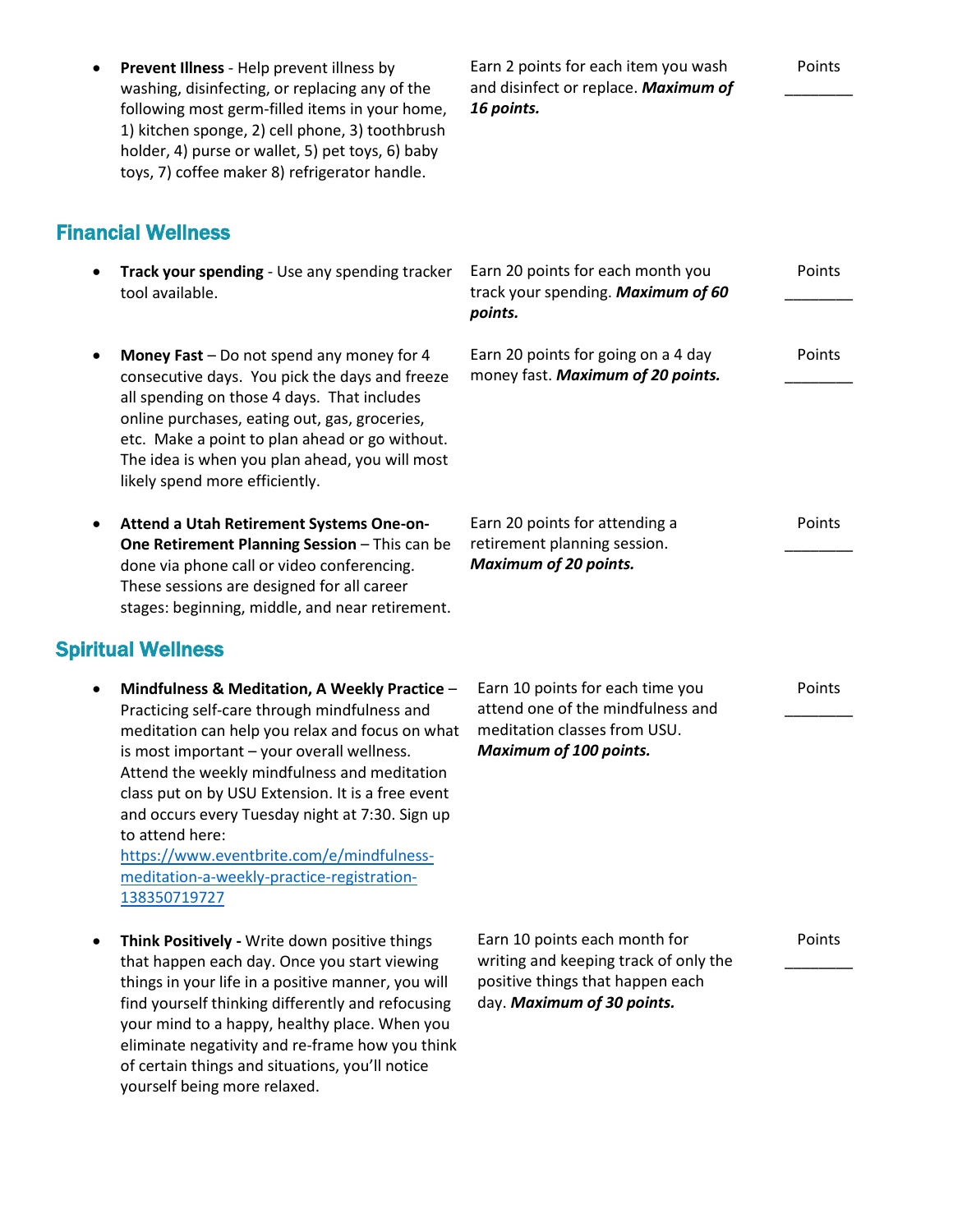|   | Prevent Illness - Help prevent illness by<br>washing, disinfecting, or replacing any of the<br>following most germ-filled items in your home,<br>1) kitchen sponge, 2) cell phone, 3) toothbrush<br>holder, 4) purse or wallet, 5) pet toys, 6) baby<br>toys, 7) coffee maker 8) refrigerator handle.                                                                                                                                                                                | Earn 2 points for each item you wash<br>and disinfect or replace. Maximum of<br>16 points.                                               | Points |
|---|--------------------------------------------------------------------------------------------------------------------------------------------------------------------------------------------------------------------------------------------------------------------------------------------------------------------------------------------------------------------------------------------------------------------------------------------------------------------------------------|------------------------------------------------------------------------------------------------------------------------------------------|--------|
|   | <b>Financial Wellness</b>                                                                                                                                                                                                                                                                                                                                                                                                                                                            |                                                                                                                                          |        |
|   | Track your spending - Use any spending tracker<br>tool available.                                                                                                                                                                                                                                                                                                                                                                                                                    | Earn 20 points for each month you<br>track your spending. Maximum of 60<br>points.                                                       | Points |
|   | Money Fast - Do not spend any money for 4<br>consecutive days. You pick the days and freeze<br>all spending on those 4 days. That includes<br>online purchases, eating out, gas, groceries,<br>etc. Make a point to plan ahead or go without.<br>The idea is when you plan ahead, you will most<br>likely spend more efficiently.                                                                                                                                                    | Earn 20 points for going on a 4 day<br>money fast. Maximum of 20 points.                                                                 | Points |
|   | Attend a Utah Retirement Systems One-on-<br>One Retirement Planning Session - This can be<br>done via phone call or video conferencing.<br>These sessions are designed for all career<br>stages: beginning, middle, and near retirement.                                                                                                                                                                                                                                             | Earn 20 points for attending a<br>retirement planning session.<br><b>Maximum of 20 points.</b>                                           | Points |
|   | <b>Spiritual Wellness</b>                                                                                                                                                                                                                                                                                                                                                                                                                                                            |                                                                                                                                          |        |
| ٠ | Mindfulness & Meditation, A Weekly Practice -<br>Practicing self-care through mindfulness and<br>meditation can help you relax and focus on what<br>is most important - your overall wellness.<br>Attend the weekly mindfulness and meditation<br>class put on by USU Extension. It is a free event<br>and occurs every Tuesday night at 7:30. Sign up<br>to attend here:<br>https://www.eventbrite.com/e/mindfulness-<br>meditation-a-weekly-practice-registration-<br>138350719727 | Earn 10 points for each time you<br>attend one of the mindfulness and<br>meditation classes from USU.<br><b>Maximum of 100 points.</b>   | Points |
|   | Think Positively - Write down positive things<br>that happen each day. Once you start viewing<br>things in your life in a positive manner, you will<br>find yourself thinking differently and refocusing<br>your mind to a happy, healthy place. When you<br>eliminate negativity and re-frame how you think                                                                                                                                                                         | Earn 10 points each month for<br>writing and keeping track of only the<br>positive things that happen each<br>day. Maximum of 30 points. | Points |

of certain things and situations, you'll notice

yourself being more relaxed.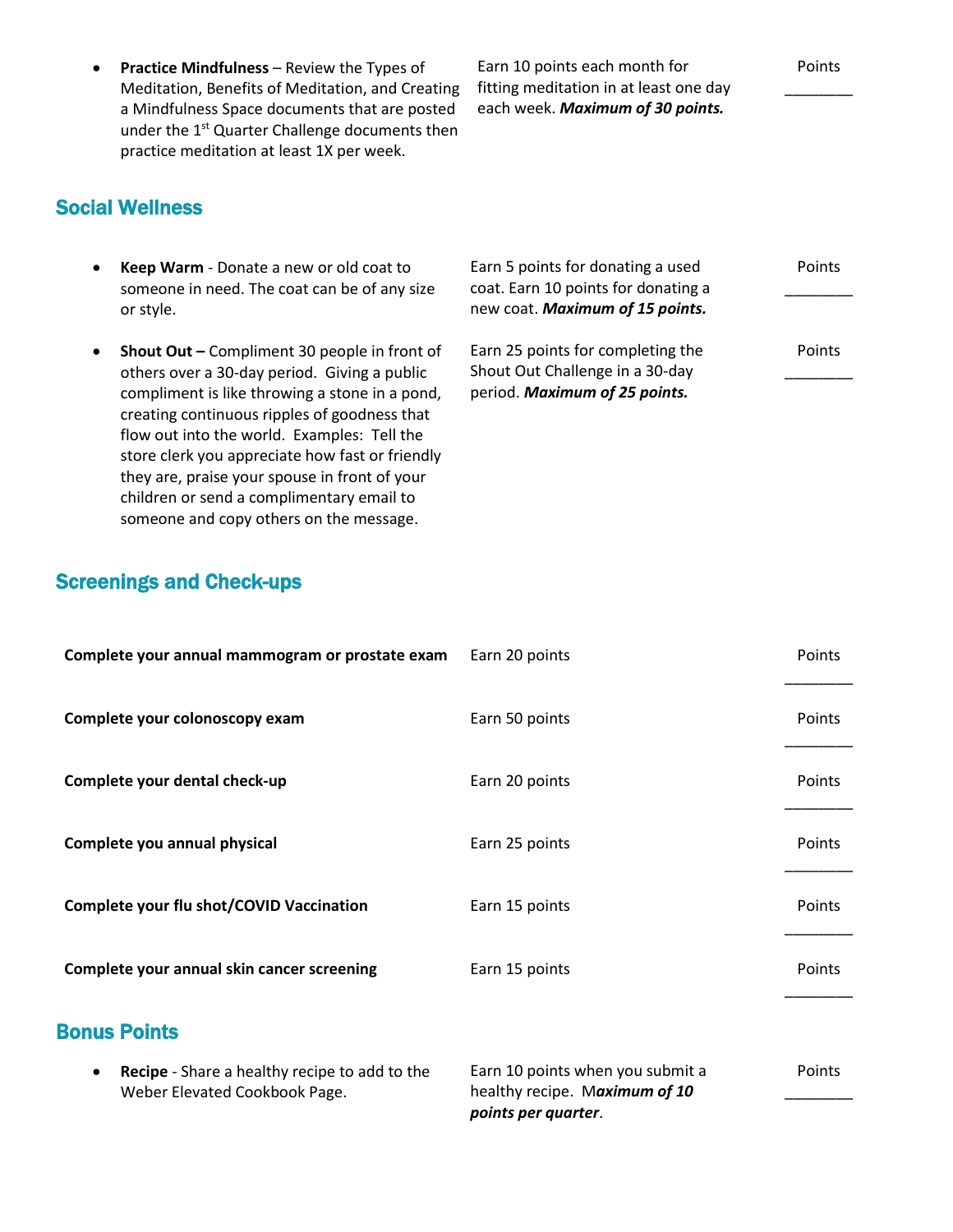**Practice Mindfulness** – Review the Types of Meditation, Benefits of Meditation, and Creating a Mindfulness Space documents that are posted under the 1<sup>st</sup> Quarter Challenge documents then practice meditation at least 1X per week.

creating continuous ripples of goodness that flow out into the world. Examples: Tell the store clerk you appreciate how fast or friendly they are, praise your spouse in front of your children or send a complimentary email to someone and copy others on the message.

Earn 10 points each month for fitting meditation in at least one day each week. *Maximum of 30 points.*

Points  $\overline{\phantom{a}}$ 

## Social Wellness

 **Keep Warm** - Donate a new or old coat to someone in need. The coat can be of any size or style. Earn 5 points for donating a used coat. Earn 10 points for donating a new coat. *Maximum of 15 points.* Points \_\_\_\_\_\_\_\_ **Shout Out –** Compliment 30 people in front of others over a 30-day period. Giving a public compliment is like throwing a stone in a pond, Earn 25 points for completing the Shout Out Challenge in a 30-day period. *Maximum of 25 points.* Points \_\_\_\_\_\_\_\_

Screenings and Check-ups

| Complete your annual mammogram or prostate exam                                                    | Earn 20 points                                                                           | Points |
|----------------------------------------------------------------------------------------------------|------------------------------------------------------------------------------------------|--------|
| Complete your colonoscopy exam                                                                     | Earn 50 points                                                                           | Points |
| Complete your dental check-up                                                                      | Earn 20 points                                                                           | Points |
| Complete you annual physical                                                                       | Earn 25 points                                                                           | Points |
| Complete your flu shot/COVID Vaccination                                                           | Earn 15 points                                                                           | Points |
| Complete your annual skin cancer screening                                                         | Earn 15 points                                                                           | Points |
| <b>Bonus Points</b>                                                                                |                                                                                          |        |
| <b>Recipe</b> - Share a healthy recipe to add to the<br>$\bullet$<br>Weber Elevated Cookbook Page. | Earn 10 points when you submit a<br>healthy recipe. Maximum of 10<br>points per quarter. | Points |